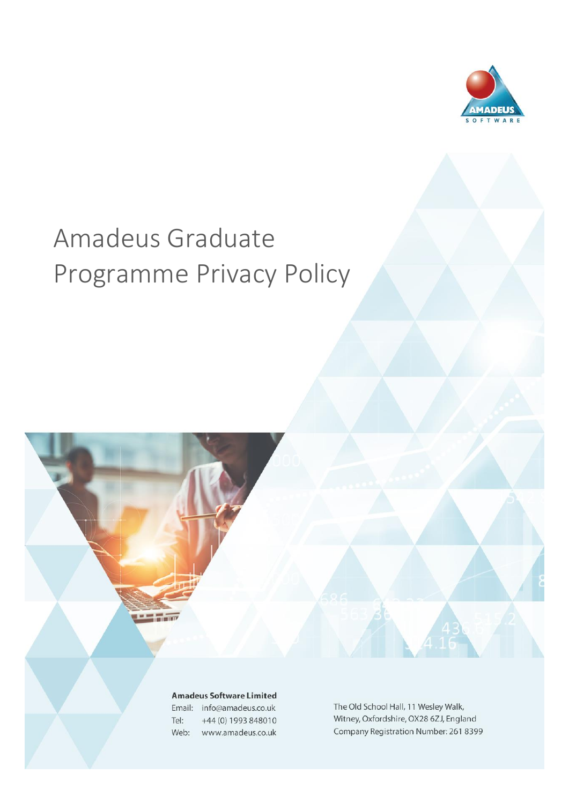

# Amadeus Graduate Programme Privacy Policy

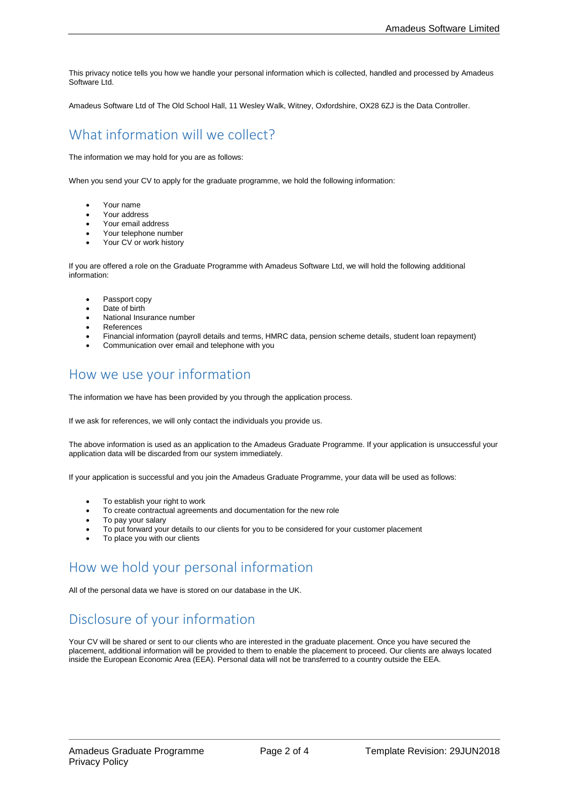This privacy notice tells you how we handle your personal information which is collected, handled and processed by Amadeus Software Ltd.

Amadeus Software Ltd of The Old School Hall, 11 Wesley Walk, Witney, Oxfordshire, OX28 6ZJ is the Data Controller.

### What information will we collect?

The information we may hold for you are as follows:

When you send your CV to apply for the graduate programme, we hold the following information:

- Your name
- Your address
- Your email address
- Your telephone number
- Your CV or work history

If you are offered a role on the Graduate Programme with Amadeus Software Ltd, we will hold the following additional information:

- Passport copy
- Date of birth
- National Insurance number
- **References**
- Financial information (payroll details and terms, HMRC data, pension scheme details, student loan repayment)
- Communication over email and telephone with you

#### How we use your information

The information we have has been provided by you through the application process.

If we ask for references, we will only contact the individuals you provide us.

The above information is used as an application to the Amadeus Graduate Programme. If your application is unsuccessful your application data will be discarded from our system immediately.

If your application is successful and you join the Amadeus Graduate Programme, your data will be used as follows:

- To establish your right to work
- To create contractual agreements and documentation for the new role
- To pay your salary
- To put forward your details to our clients for you to be considered for your customer placement
- To place you with our clients

#### How we hold your personal information

All of the personal data we have is stored on our database in the UK.

## Disclosure of your information

Your CV will be shared or sent to our clients who are interested in the graduate placement. Once you have secured the placement, additional information will be provided to them to enable the placement to proceed. Our clients are always located inside the European Economic Area (EEA). Personal data will not be transferred to a country outside the EEA.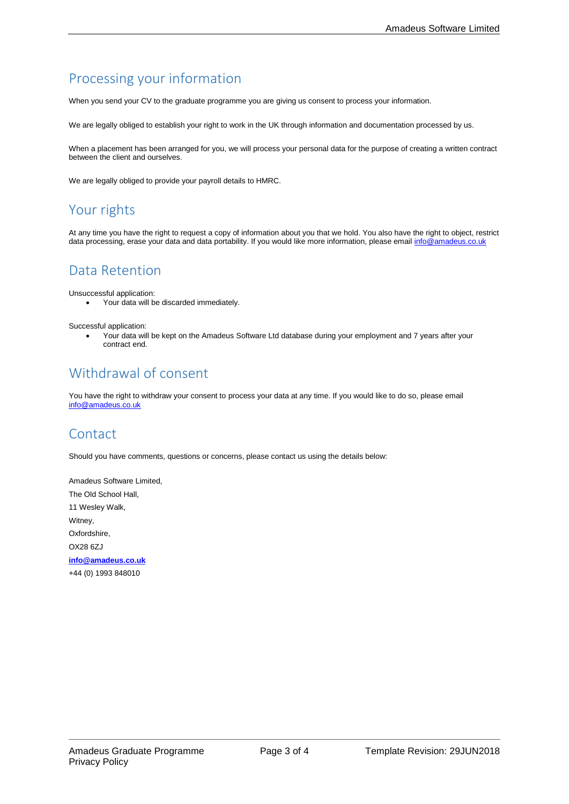# Processing your information

When you send your CV to the graduate programme you are giving us consent to process your information.

We are legally obliged to establish your right to work in the UK through information and documentation processed by us.

When a placement has been arranged for you, we will process your personal data for the purpose of creating a written contract between the client and ourselves.

We are legally obliged to provide your payroll details to HMRC.

#### Your rights

At any time you have the right to request a copy of information about you that we hold. You also have the right to object, restrict data processing, erase your data and data portability. If you would like more information, please emai[l info@amadeus.co.uk](mailto:info@amadeus.co.uk)

#### Data Retention

Unsuccessful application:

• Your data will be discarded immediately.

Successful application:

• Your data will be kept on the Amadeus Software Ltd database during your employment and 7 years after your contract end.

# Withdrawal of consent

You have the right to withdraw your consent to process your data at any time. If you would like to do so, please email [info@amadeus.co.uk](mailto:info@amadeus.co.uk)

#### Contact

Should you have comments, questions or concerns, please contact us using the details below:

Amadeus Software Limited, The Old School Hall, 11 Wesley Walk, Witney, Oxfordshire, OX28 6ZJ **[info@amadeus.co.uk](mailto:info@amadeus.co.uk)** +44 (0) 1993 848010